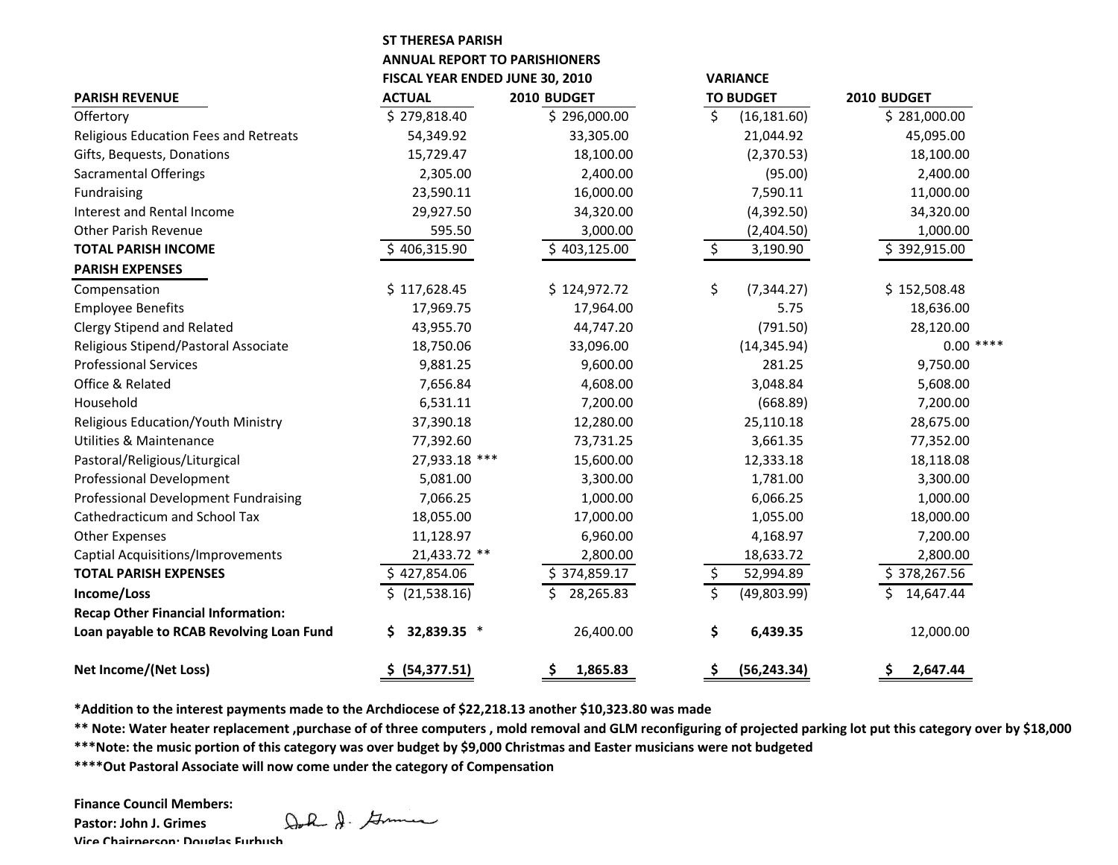## **ST THERESA PARISH**

**ANNUAL REPORT TO PARISHIONERS**

|                                             | FISCAL YEAR ENDED JUNE 30, 2010 |                |                  | <b>VARIANCE</b> | 2010 BUDGET     |
|---------------------------------------------|---------------------------------|----------------|------------------|-----------------|-----------------|
| <b>PARISH REVENUE</b>                       | <b>ACTUAL</b>                   | 2010 BUDGET    | <b>TO BUDGET</b> |                 |                 |
| Offertory                                   | \$279,818.40                    | \$296,000.00   | \$               | (16, 181.60)    | \$281,000.00    |
| Religious Education Fees and Retreats       | 54,349.92                       | 33,305.00      |                  | 21,044.92       | 45,095.00       |
| Gifts, Bequests, Donations                  | 15,729.47                       | 18,100.00      |                  | (2,370.53)      | 18,100.00       |
| <b>Sacramental Offerings</b>                | 2,305.00                        | 2,400.00       |                  | (95.00)         | 2,400.00        |
| Fundraising                                 | 23,590.11                       | 16,000.00      |                  | 7,590.11        | 11,000.00       |
| Interest and Rental Income                  | 29,927.50                       | 34,320.00      |                  | (4,392.50)      | 34,320.00       |
| <b>Other Parish Revenue</b>                 | 595.50                          | 3,000.00       |                  | (2,404.50)      | 1,000.00        |
| <b>TOTAL PARISH INCOME</b>                  | \$406,315.90                    | \$403,125.00   | \$               | 3,190.90        | \$392,915.00    |
| <b>PARISH EXPENSES</b>                      |                                 |                |                  |                 |                 |
| Compensation                                | \$117,628.45                    | \$124,972.72   | \$               | (7, 344.27)     | \$152,508.48    |
| <b>Employee Benefits</b>                    | 17,969.75                       | 17,964.00      |                  | 5.75            | 18,636.00       |
| <b>Clergy Stipend and Related</b>           | 43,955.70                       | 44,747.20      |                  | (791.50)        | 28,120.00       |
| Religious Stipend/Pastoral Associate        | 18,750.06                       | 33,096.00      |                  | (14, 345.94)    | $0.00$ ****     |
| <b>Professional Services</b>                | 9,881.25                        | 9,600.00       |                  | 281.25          | 9,750.00        |
| Office & Related                            | 7,656.84                        | 4,608.00       |                  | 3,048.84        | 5,608.00        |
| Household                                   | 6,531.11                        | 7,200.00       |                  | (668.89)        | 7,200.00        |
| Religious Education/Youth Ministry          | 37,390.18                       | 12,280.00      |                  | 25,110.18       | 28,675.00       |
| <b>Utilities &amp; Maintenance</b>          | 77,392.60                       | 73,731.25      |                  | 3,661.35        | 77,352.00       |
| Pastoral/Religious/Liturgical               | 27,933.18 ***                   | 15,600.00      |                  | 12,333.18       | 18,118.08       |
| <b>Professional Development</b>             | 5,081.00                        | 3,300.00       |                  | 1,781.00        | 3,300.00        |
| <b>Professional Development Fundraising</b> | 7,066.25                        | 1,000.00       |                  | 6,066.25        | 1,000.00        |
| <b>Cathedracticum and School Tax</b>        | 18,055.00                       | 17,000.00      |                  | 1,055.00        | 18,000.00       |
| <b>Other Expenses</b>                       | 11,128.97                       | 6,960.00       |                  | 4,168.97        | 7,200.00        |
| <b>Captial Acquisitions/Improvements</b>    | 21,433.72 **                    | 2,800.00       |                  | 18,633.72       | 2,800.00        |
| <b>TOTAL PARISH EXPENSES</b>                | \$427,854.06                    | \$374,859.17   | \$               | 52,994.89       | \$378,267.56    |
| Income/Loss                                 | $$$ (21,538.16)                 | 28,265.83      | \$               | (49,803.99)     | \$<br>14,647.44 |
| <b>Recap Other Financial Information:</b>   |                                 |                |                  |                 |                 |
| Loan payable to RCAB Revolving Loan Fund    | 32,839.35 *<br>\$               | 26,400.00      | \$               | 6,439.35        | 12,000.00       |
| <b>Net Income/(Net Loss)</b>                | \$ (54,377.51)                  | \$<br>1,865.83 | \$               | (56, 243.34)    | \$<br>2,647.44  |

**\*Addition to the interest payments made to the Archdiocese of \$22,218.13 another \$10,323.80 was made**

**\*\* Note: Water heater replacement ,purchase of of three computers , mold removal and GLM reconfiguring of projected parking lot put this category over by \$18,000**

**\*\*\*Note: the music portion of this category was over budget by \$9,000 Christmas and Easter musicians were not budgeted**

**\*\*\*\*Out Pastoral Associate will now come under the category of Compensation**

**Finance Council Members:**

**Pastor: John J. Grimes Vice Chairperson: Douglas Furbush**

Doll & German